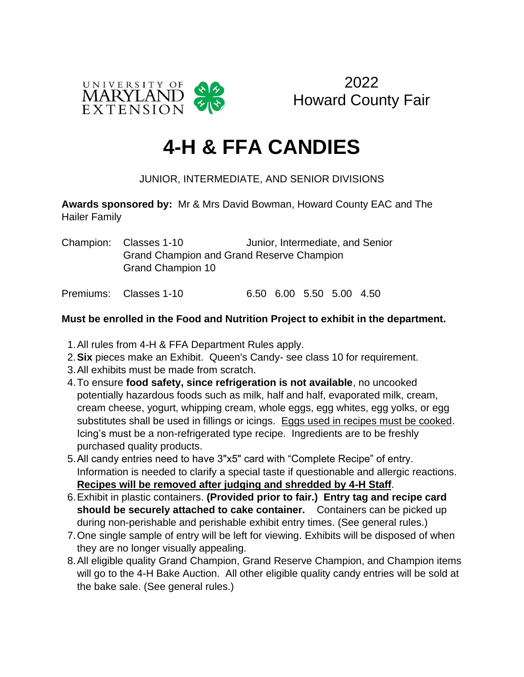

2022 Howard County Fair

## **4-H & FFA CANDIES**

## JUNIOR, INTERMEDIATE, AND SENIOR DIVISIONS

**Awards sponsored by:** Mr & Mrs David Bowman, Howard County EAC and The Hailer Family

Champion: Classes 1-10 Junior, Intermediate, and Senior Grand Champion and Grand Reserve Champion Grand Champion 10

Premiums: Classes 1-10 6.50 6.00 5.50 5.00 4.50

## **Must be enrolled in the Food and Nutrition Project to exhibit in the department.**

- 1.All rules from 4-H & FFA Department Rules apply.
- 2.**Six** pieces make an Exhibit. Queen's Candy- see class 10 for requirement.
- 3.All exhibits must be made from scratch.
- 4.To ensure **food safety, since refrigeration is not available**, no uncooked potentially hazardous foods such as milk, half and half, evaporated milk, cream, cream cheese, yogurt, whipping cream, whole eggs, egg whites, egg yolks, or egg substitutes shall be used in fillings or icings. Eggs used in recipes must be cooked. Icing's must be a non-refrigerated type recipe. Ingredients are to be freshly purchased quality products.
- 5.All candy entries need to have 3"x5" card with "Complete Recipe" of entry. Information is needed to clarify a special taste if questionable and allergic reactions. **Recipes will be removed after judging and shredded by 4-H Staff**.
- 6.Exhibit in plastic containers. **(Provided prior to fair.) Entry tag and recipe card should be securely attached to cake container.** Containers can be picked up during non-perishable and perishable exhibit entry times. (See general rules.)
- 7.One single sample of entry will be left for viewing. Exhibits will be disposed of when they are no longer visually appealing.
- 8.All eligible quality Grand Champion, Grand Reserve Champion, and Champion items will go to the 4-H Bake Auction. All other eligible quality candy entries will be sold at the bake sale. (See general rules.)